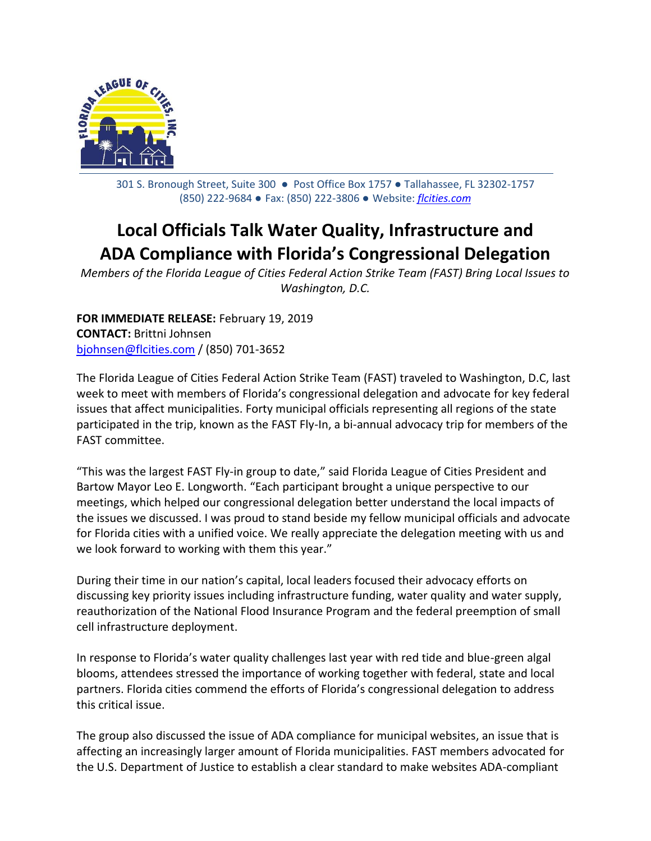

301 S. Bronough Street, Suite 300 ● Post Office Box 1757 ● Tallahassee, FL 32302-1757 (850) 222-9684 ● Fax: (850) 222-3806 ● Website: *[flcities.com](http://www.flcities.com/)*

## **Local Officials Talk Water Quality, Infrastructure and ADA Compliance with Florida's Congressional Delegation**

*Members of the Florida League of Cities Federal Action Strike Team (FAST) Bring Local Issues to Washington, D.C.*

**FOR IMMEDIATE RELEASE:** February 19, 2019 **CONTACT:** Brittni Johnsen [bjohnsen@flcities.com](mailto:bjohnsen@flcities.com) / (850) 701-3652

The Florida League of Cities Federal Action Strike Team (FAST) traveled to Washington, D.C, last week to meet with members of Florida's congressional delegation and advocate for key federal issues that affect municipalities. Forty municipal officials representing all regions of the state participated in the trip, known as the FAST Fly-In, a bi-annual advocacy trip for members of the FAST committee.

"This was the largest FAST Fly-in group to date," said Florida League of Cities President and Bartow Mayor Leo E. Longworth. "Each participant brought a unique perspective to our meetings, which helped our congressional delegation better understand the local impacts of the issues we discussed. I was proud to stand beside my fellow municipal officials and advocate for Florida cities with a unified voice. We really appreciate the delegation meeting with us and we look forward to working with them this year."

During their time in our nation's capital, local leaders focused their advocacy efforts on discussing key priority issues including infrastructure funding, water quality and water supply, reauthorization of the National Flood Insurance Program and the federal preemption of small cell infrastructure deployment.

In response to Florida's water quality challenges last year with red tide and blue-green algal blooms, attendees stressed the importance of working together with federal, state and local partners. Florida cities commend the efforts of Florida's congressional delegation to address this critical issue.

The group also discussed the issue of ADA compliance for municipal websites, an issue that is affecting an increasingly larger amount of Florida municipalities. FAST members advocated for the U.S. Department of Justice to establish a clear standard to make websites ADA-compliant